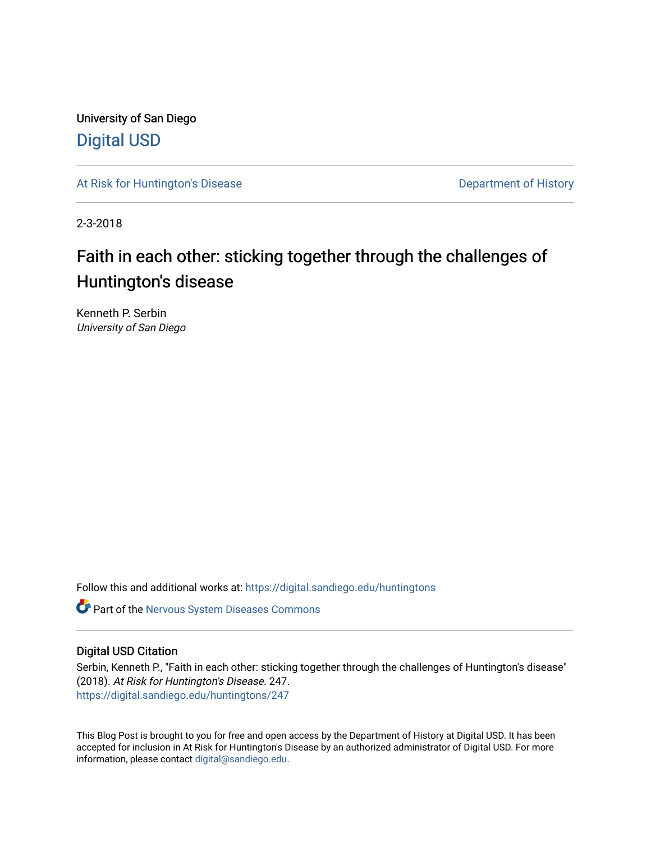University of San Diego [Digital USD](https://digital.sandiego.edu/)

[At Risk for Huntington's Disease](https://digital.sandiego.edu/huntingtons) **Department of History** Department of History

2-3-2018

# Faith in each other: sticking together through the challenges of Huntington's disease

Kenneth P. Serbin University of San Diego

Follow this and additional works at: [https://digital.sandiego.edu/huntingtons](https://digital.sandiego.edu/huntingtons?utm_source=digital.sandiego.edu%2Fhuntingtons%2F247&utm_medium=PDF&utm_campaign=PDFCoverPages)

**C** Part of the [Nervous System Diseases Commons](http://network.bepress.com/hgg/discipline/928?utm_source=digital.sandiego.edu%2Fhuntingtons%2F247&utm_medium=PDF&utm_campaign=PDFCoverPages)

## Digital USD Citation

Serbin, Kenneth P., "Faith in each other: sticking together through the challenges of Huntington's disease" (2018). At Risk for Huntington's Disease. 247. [https://digital.sandiego.edu/huntingtons/247](https://digital.sandiego.edu/huntingtons/247?utm_source=digital.sandiego.edu%2Fhuntingtons%2F247&utm_medium=PDF&utm_campaign=PDFCoverPages)

This Blog Post is brought to you for free and open access by the Department of History at Digital USD. It has been accepted for inclusion in At Risk for Huntington's Disease by an authorized administrator of Digital USD. For more information, please contact [digital@sandiego.edu.](mailto:digital@sandiego.edu)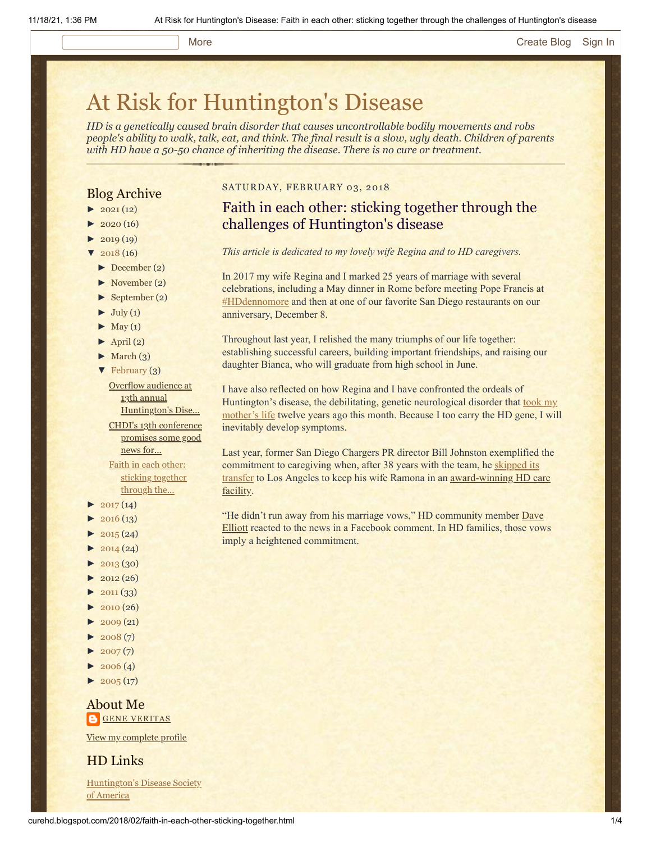## More **[Create Blog](https://www.blogger.com/home#create) [Sign In](https://www.blogger.com/)**

# [At Risk for Huntington's Disease](http://curehd.blogspot.com/)

*HD is a genetically caused brain disorder that causes uncontrollable bodily movements and robs people's ability to walk, talk, eat, and think. The final result is a slow, ugly death. Children of parents with HD have a 50-50 chance of inheriting the disease. There is no cure or treatment.*

## Blog Archive

- $\blacktriangleright$  [2021](http://curehd.blogspot.com/2021/) (12)
- $2020(16)$  $2020(16)$
- $2019(19)$  $2019(19)$
- $2018(16)$  $2018(16)$
- [►](javascript:void(0)) [December](http://curehd.blogspot.com/2018/12/) (2)
- [►](javascript:void(0)) [November](http://curehd.blogspot.com/2018/11/) (2)
- [►](javascript:void(0)) [September](http://curehd.blogspot.com/2018/09/) (2)
- $\blacktriangleright$  [July](http://curehd.blogspot.com/2018/07/) (1)
- $\blacktriangleright$  [May](http://curehd.blogspot.com/2018/05/) (1)
- $\blacktriangleright$  [April](http://curehd.blogspot.com/2018/04/) (2)
- $\blacktriangleright$  [March](http://curehd.blogspot.com/2018/03/) (3)
- $\blacktriangledown$  [February](http://curehd.blogspot.com/2018/02/) (3)

Overflow audience at 13th annual [Huntington's](http://curehd.blogspot.com/2018/02/overflow-audience-at-13th-annual.html) Dise... CHDI's 13th [conference](http://curehd.blogspot.com/2018/02/chdis-13th-conference-promises-some.html) promises some good news for... Faith in each other: sticking [together](http://curehd.blogspot.com/2018/02/faith-in-each-other-sticking-together.html) through the...

- $2017(14)$  $2017(14)$
- $2016(13)$  $2016(13)$
- $\blacktriangleright$  [2015](http://curehd.blogspot.com/2015/) (24)
- $2014(24)$  $2014(24)$
- $2013(30)$  $2013(30)$
- $\blacktriangleright$  [2012](http://curehd.blogspot.com/2012/) (26)
- $\blacktriangleright$  [2011](http://curehd.blogspot.com/2011/) (33)
- $\blacktriangleright$  [2010](http://curehd.blogspot.com/2010/) (26)
- $-2009(21)$  $-2009(21)$  $-2009(21)$
- $\blacktriangleright$  [2008](http://curehd.blogspot.com/2008/) $(7)$
- $\blacktriangleright$  [2007](http://curehd.blogspot.com/2007/) $(7)$
- $\blacktriangleright$  [2006](http://curehd.blogspot.com/2006/) (4)
- $\blacktriangleright$  [2005](http://curehd.blogspot.com/2005/) (17)

## About Me **GENE [VERITAS](https://www.blogger.com/profile/10911736205741688185)**

View my [complete](https://www.blogger.com/profile/10911736205741688185) profile

HD Links

[Huntington's](http://www.hdsa.org/) Disease Society of America

## SATURDAY, FEBRUARY 03, 2018

## Faith in each other: sticking together through the challenges of Huntington's disease

*This article is dedicated to my lovely wife Regina and to HD caregivers.*

In 2017 my wife Regina and I marked 25 years of marriage with several celebrations, including a May dinner in Rome before meeting Pope Francis at [#HDdennomore](http://curehd.blogspot.com/2017/05/pope-francis-declares-huntingtons.html) and then at one of our favorite San Diego restaurants on our anniversary, December 8.

Throughout last year, I relished the many triumphs of our life together: establishing successful careers, building important friendships, and raising our daughter Bianca, who will graduate from high school in June.

I have also reflected on how Regina and I have confronted the ordeals of Huntington's disease, the debilitating, genetic neurological disorder that took my [mother's life twelve years ago this month. Because I too carry the HD gene,](http://curehd.blogspot.com/2006/10/mourning-mom.html) I will inevitably develop symptoms.

Last year, former San Diego Chargers PR director Bill Johnston exemplified the commitment to caregiving when, after 38 years with the team, he skipped its transfer to [Los Angeles to keep his wife Ramona in an award-winning HD c](http://curehd.blogspot.com/2017/02/staying-when-chargers-leave-leading.html)[are](http://www.sandiegouniontribune.com/news/health/sd-me-edgemoor-award-20171019-story.html) facility.

"He didn't [run away from his marriage vows," HD community member Dave](https://www.facebook.com/Usna197) Elliott reacted to the news in a Facebook comment. In HD families, those vows imply a heightened commitment.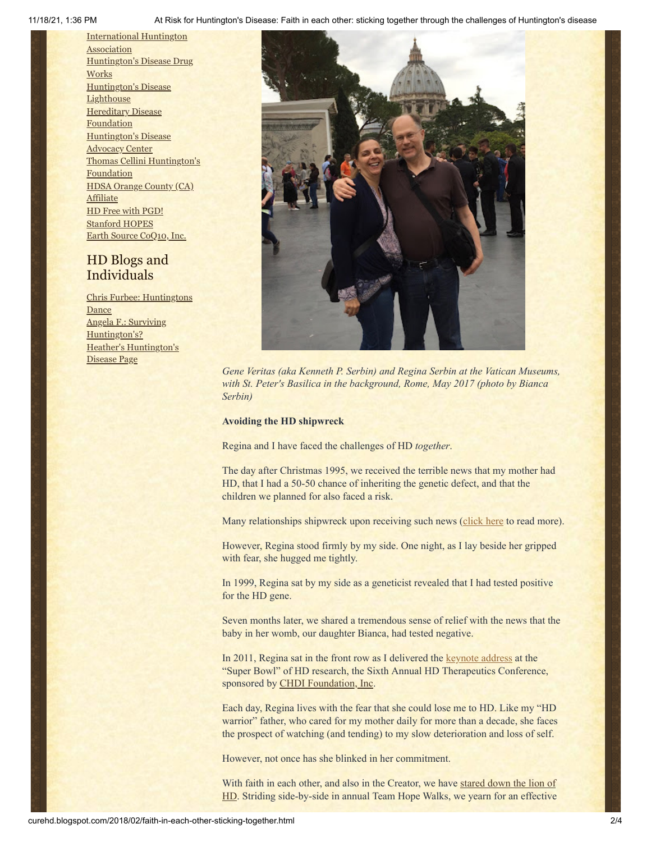11/18/21, 1:36 PM At Risk for Huntington's Disease: Faith in each other: sticking together through the challenges of Huntington's disease

[International](http://www.huntington-assoc.com/) Huntington **Association** [Huntington's](http://hddrugworks.org/) Disease Drug **Works** [Huntington's](http://www.hdlighthouse.org/) Disease **Lighthouse [Hereditary](http://www.hdfoundation.org/) Disease Foundation** [Huntington's](http://www.hdac.org/) Disease Advocacy Center Thomas [Cellini Huntington's](http://www.ourtchfoundation.org/) Foundation HDSA Orange County (CA) **[Affiliate](http://www.hdsaoc.org/)** HD Free with [PGD!](http://www.hdfreewithpgd.com/) [Stanford](http://www.stanford.edu/group/hopes/) HOPES Earth Source [CoQ10,](http://www.escoq10.com/) Inc.

## HD Blogs and Individuals

Chris Furbee: [Huntingtons](http://www.huntingtonsdance.org/) Dance Angela F.: Surviving [Huntington's?](http://survivinghuntingtons.blogspot.com/) Heather's [Huntington's](http://heatherdugdale.angelfire.com/) Disease Page



*Gene Veritas (aka Kenneth P. Serbin) and Regina Serbin at the Vatican Museums, with St. Peter's Basilica in the background, Rome, May 2017 (photo by Bianca Serbin)*

## **Avoiding the HD shipwreck**

Regina and I have faced the challenges of HD *together*.

The day after Christmas 1995, we received the terrible news that my mother had HD, that I had a 50-50 chance of inheriting the genetic defect, and that the children we planned for also faced a risk.

Many relationships shipwreck upon receiving such news ([click here](http://curehd.blogspot.com/2011/03/huntingtons-disease-loneliness-and-love.html) to read more).

However, Regina stood firmly by my side. One night, as I lay beside her gripped with fear, she hugged me tightly.

In 1999, Regina sat by my side as a geneticist revealed that I had tested positive for the HD gene.

Seven months later, we shared a tremendous sense of relief with the news that the baby in her womb, our daughter Bianca, had tested negative.

In 2011, Regina sat in the front row as I delivered the [keynote address](http://curehd.blogspot.com/2011/02/unmasking-gene-veritas-huntingtons.html) at the "Super Bowl" of HD research, the Sixth Annual HD Therapeutics Conference, sponsored by [CHDI Foundation, Inc.](http://chdifoundation.org/)

Each day, Regina lives with the fear that she could lose me to HD. Like my "HD warrior" father, who cared for my mother daily for more than a decade, she faces the prospect of watching (and tending) to my slow deterioration and loss of self.

However, not once has she blinked in her commitment.

With faith [in each other, and also in the Creator, we have stared down the lion of](https://www.huffingtonpost.com/kenneth-p-serbin/huntingtons-disease_b_7472784.html) HD. Striding side-by-side in annual Team Hope Walks, we yearn for an effective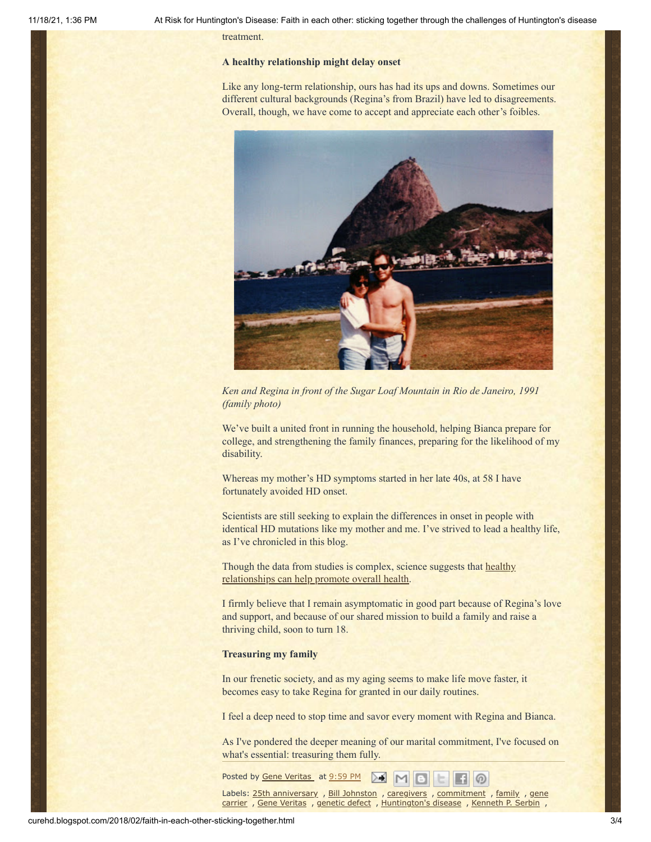treatment.

## **A healthy relationship might delay onset**

Like any long-term relationship, ours has had its ups and downs. Sometimes our different cultural backgrounds (Regina's from Brazil) have led to disagreements. Overall, though, we have come to accept and appreciate each other's foibles.



*Ken and Regina in front of the Sugar Loaf Mountain in Rio de Janeiro, 1991 (family photo)*

We've built a united front in running the household, helping Bianca prepare for college, and strengthening the family finances, preparing for the likelihood of my disability.

Whereas my mother's HD symptoms started in her late 40s, at 58 I have fortunately avoided HD onset.

Scientists are still seeking to explain the differences in onset in people with identical HD mutations like my mother and me. I've strived to lead a healthy life, as I've chronicled in this blog.

Though the [data from studies is complex, science suggests that healthy](https://www.huffingtonpost.com/entry/marriage-health-stress-levels_us_58a32c64e4b03df370da768c) relationships can help promote overall health.

I firmly believe that I remain asymptomatic in good part because of Regina's love and support, and because of our shared mission to build a family and raise a thriving child, soon to turn 18.

### **Treasuring my family**

In our frenetic society, and as my aging seems to make life move faster, it becomes easy to take Regina for granted in our daily routines.

I feel a deep need to stop time and savor every moment with Regina and Bianca.

As I've pondered the deeper meaning of our marital commitment, I've focused on what's essential: treasuring them fully.

Posted by Gene [Veritas](https://www.blogger.com/profile/10911736205741688185) at [9:59](http://curehd.blogspot.com/2018/02/faith-in-each-other-sticking-together.html) PM

Labels: 25th [anniversary](http://curehd.blogspot.com/search/label/25th%20anniversary) , Bill [Johnston](http://curehd.blogspot.com/search/label/Bill%20Johnston) , [caregivers](http://curehd.blogspot.com/search/label/caregivers) , [commitment](http://curehd.blogspot.com/search/label/commitment) , [family](http://curehd.blogspot.com/search/label/family) , gene carrier , Gene [Veritas](http://curehd.blogspot.com/search/label/Gene%20Veritas) , [genetic](http://curehd.blogspot.com/search/label/genetic%20defect) defect , [Huntington's](http://curehd.blogspot.com/search/label/gene%20carrier) disease , [Kenneth](http://curehd.blogspot.com/search/label/Kenneth%20P.%20Serbin) P. Serbin ,